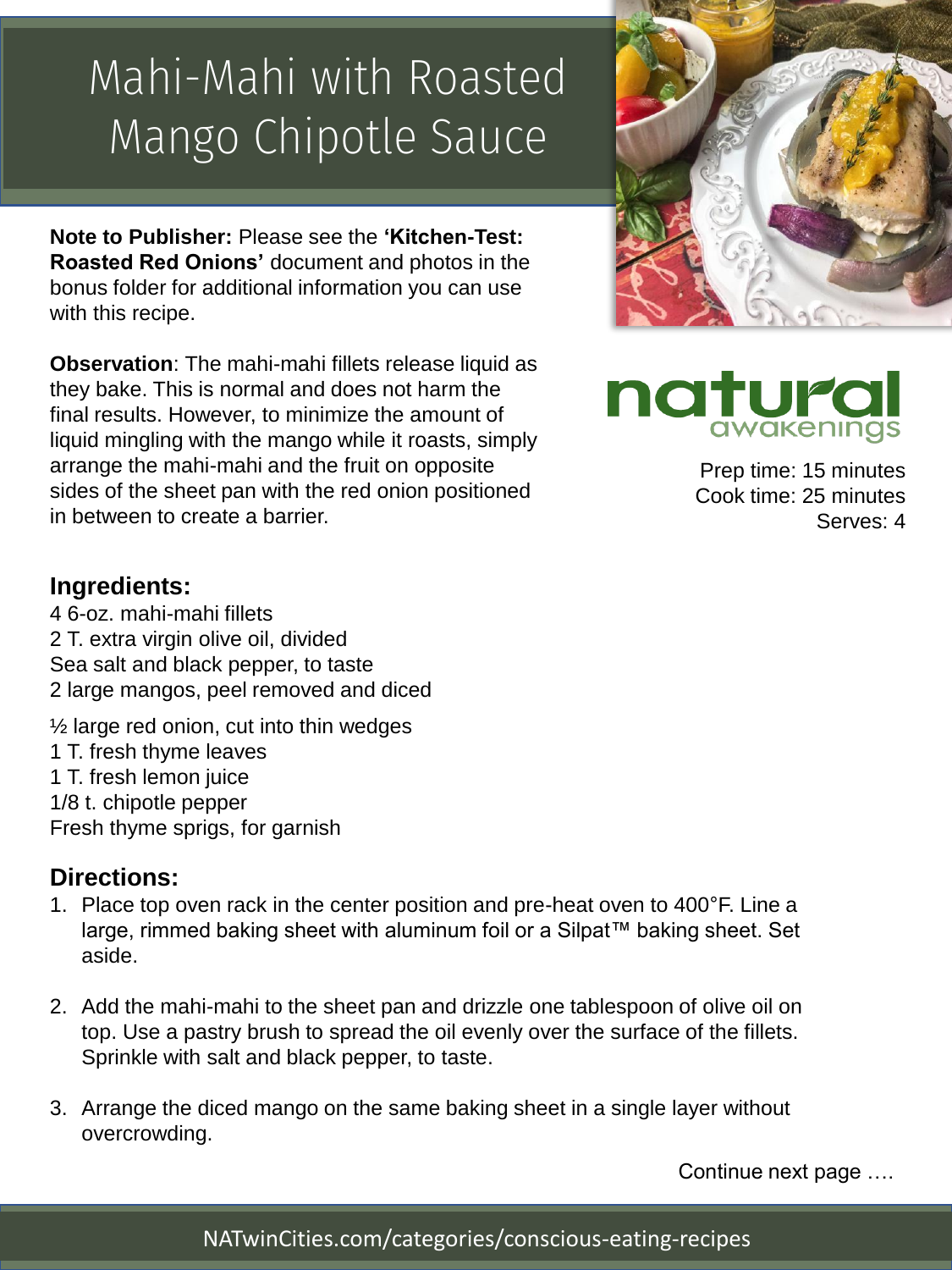## Mahi-Mahi with Roasted Mango Chipotle Sauce

**Note to Publisher:** Please see the **'Kitchen-Test: Roasted Red Onions'** document and photos in the bonus folder for additional information you can use with this recipe.

**Observation**: The mahi-mahi fillets release liquid as they bake. This is normal and does not harm the final results. However, to minimize the amount of liquid mingling with the mango while it roasts, simply arrange the mahi-mahi and the fruit on opposite sides of the sheet pan with the red onion positioned in between to create a barrier.





Prep time: 15 minutes Cook time: 25 minutes Serves: 4

#### **Ingredients:**

4 6-oz. mahi-mahi fillets 2 T. extra virgin olive oil, divided Sea salt and black pepper, to taste 2 large mangos, peel removed and diced

 $\frac{1}{2}$  large red onion, cut into thin wedges

- 1 T. fresh thyme leaves
- 1 T. fresh lemon juice
- 1/8 t. chipotle pepper
- Fresh thyme sprigs, for garnish

#### **Directions:**

- 1. Place top oven rack in the center position and pre-heat oven to 400°F. Line a large, rimmed baking sheet with aluminum foil or a Silpat™ baking sheet. Set aside.
- 2. Add the mahi-mahi to the sheet pan and drizzle one tablespoon of olive oil on top. Use a pastry brush to spread the oil evenly over the surface of the fillets. Sprinkle with salt and black pepper, to taste.
- 3. Arrange the diced mango on the same baking sheet in a single layer without overcrowding.

Continue next page ….